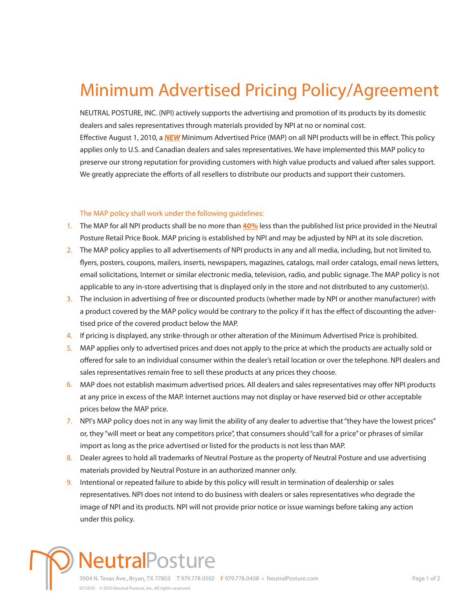## Minimum Advertised Pricing Policy/Agreement

NEUTRAL POSTURE, INC. (NPI) actively supports the advertising and promotion of its products by its domestic dealers and sales representatives through materials provided by NPI at no or nominal cost. Effective August 1, 2010, a *NEW* Minimum Advertised Price (MAP) on all NPI products will be in effect. This policy applies only to U.S. and Canadian dealers and sales representatives. We have implemented this MAP policy to preserve our strong reputation for providing customers with high value products and valued after sales support. We greatly appreciate the efforts of all resellers to distribute our products and support their customers.

## The MAP policy shall work under the following guidelines:

- 1. The MAP for all NPI products shall be no more than **40%** less than the published list price provided in the Neutral Posture Retail Price Book. MAP pricing is established by NPI and may be adjusted by NPI at its sole discretion.
- 2. The MAP policy applies to all advertisements of NPI products in any and all media, including, but not limited to, flyers, posters, coupons, mailers, inserts, newspapers, magazines, catalogs, mail order catalogs, email news letters, email solicitations, Internet or similar electronic media, television, radio, and public signage. The MAP policy is not applicable to any in-store advertising that is displayed only in the store and not distributed to any customer(s).
- 3. The inclusion in advertising of free or discounted products (whether made by NPI or another manufacturer) with a product covered by the MAP policy would be contrary to the policy if it has the effect of discounting the advertised price of the covered product below the MAP.
- 4. If pricing is displayed, any strike-through or other alteration of the Minimum Advertised Price is prohibited.
- MAP applies only to advertised prices and does not apply to the price at which the products are actually sold or 5. offered for sale to an individual consumer within the dealer's retail location or over the telephone. NPI dealers and sales representatives remain free to sell these products at any prices they choose.
- MAP does not establish maximum advertised prices. All dealers and sales representatives may offer NPI products 6. at any price in excess of the MAP. Internet auctions may not display or have reserved bid or other acceptable prices below the MAP price.
- 7. NPI's MAP policy does not in any way limit the ability of any dealer to advertise that "they have the lowest prices" or, they "will meet or beat any competitors price", that consumers should "call for a price" or phrases of similar import as long as the price advertised or listed for the products is not less than MAP.
- 8. Dealer agrees to hold all trademarks of Neutral Posture as the property of Neutral Posture and use advertising materials provided by Neutral Posture in an authorized manner only.
- 9. Intentional or repeated failure to abide by this policy will result in termination of dealership or sales representatives. NPI does not intend to do business with dealers or sales representatives who degrade the image of NPI and its products. NPI will not provide prior notice or issue warnings before taking any action under this policy.

## **leutralPosture** 3904 N. Texas Ave., Bryan, TX 77803 T 979.778.0502 F 979.778.0408 • NeutralPosture.com 07/2010 © 2010 Neutral Posture, Inc. All rights reserved.